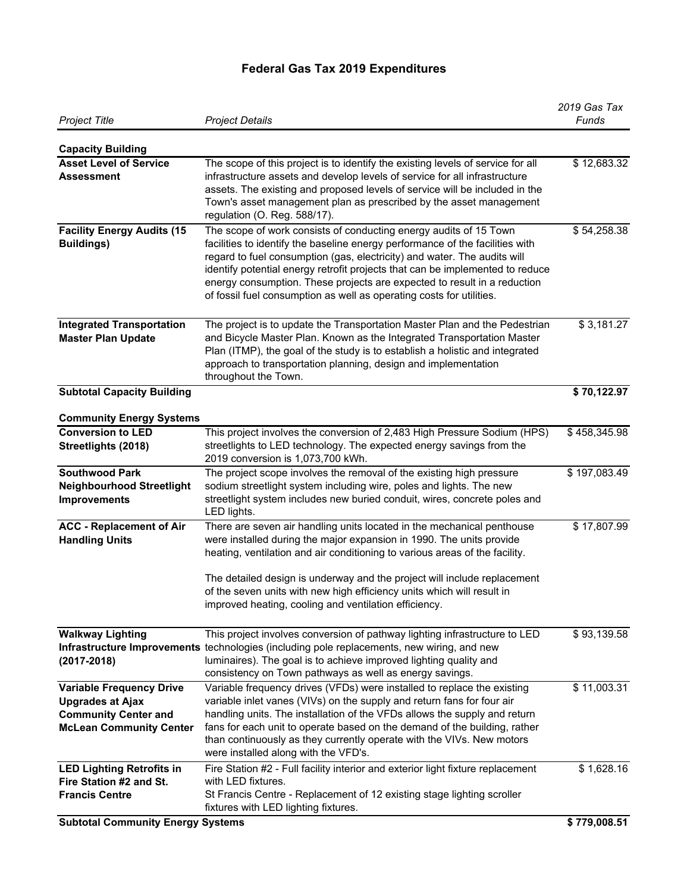## **Federal Gas Tax 2019 Expenditures**

| <b>Project Title</b>                                                                                                        | <b>Project Details</b>                                                                                                                                                                                                                                                                                                                                                                                                                                              | 2019 Gas Tax<br>Funds |
|-----------------------------------------------------------------------------------------------------------------------------|---------------------------------------------------------------------------------------------------------------------------------------------------------------------------------------------------------------------------------------------------------------------------------------------------------------------------------------------------------------------------------------------------------------------------------------------------------------------|-----------------------|
| <b>Capacity Building</b>                                                                                                    |                                                                                                                                                                                                                                                                                                                                                                                                                                                                     |                       |
| <b>Asset Level of Service</b><br>Assessment                                                                                 | The scope of this project is to identify the existing levels of service for all<br>infrastructure assets and develop levels of service for all infrastructure<br>assets. The existing and proposed levels of service will be included in the<br>Town's asset management plan as prescribed by the asset management<br>regulation (O. Reg. 588/17).                                                                                                                  | \$12,683.32           |
| <b>Facility Energy Audits (15</b><br><b>Buildings)</b>                                                                      | The scope of work consists of conducting energy audits of 15 Town<br>facilities to identify the baseline energy performance of the facilities with<br>regard to fuel consumption (gas, electricity) and water. The audits will<br>identify potential energy retrofit projects that can be implemented to reduce<br>energy consumption. These projects are expected to result in a reduction<br>of fossil fuel consumption as well as operating costs for utilities. | \$54,258.38           |
| <b>Integrated Transportation</b><br><b>Master Plan Update</b>                                                               | The project is to update the Transportation Master Plan and the Pedestrian<br>and Bicycle Master Plan. Known as the Integrated Transportation Master<br>Plan (ITMP), the goal of the study is to establish a holistic and integrated<br>approach to transportation planning, design and implementation<br>throughout the Town.                                                                                                                                      | \$3,181.27            |
| <b>Subtotal Capacity Building</b>                                                                                           |                                                                                                                                                                                                                                                                                                                                                                                                                                                                     | \$70,122.97           |
| <b>Community Energy Systems</b>                                                                                             |                                                                                                                                                                                                                                                                                                                                                                                                                                                                     |                       |
| <b>Conversion to LED</b>                                                                                                    | This project involves the conversion of 2,483 High Pressure Sodium (HPS)                                                                                                                                                                                                                                                                                                                                                                                            | \$458,345.98          |
| Streetlights (2018)                                                                                                         | streetlights to LED technology. The expected energy savings from the<br>2019 conversion is 1,073,700 kWh.                                                                                                                                                                                                                                                                                                                                                           |                       |
| <b>Southwood Park</b><br><b>Neighbourhood Streetlight</b><br><b>Improvements</b>                                            | The project scope involves the removal of the existing high pressure<br>sodium streetlight system including wire, poles and lights. The new<br>streetlight system includes new buried conduit, wires, concrete poles and<br>LED lights.                                                                                                                                                                                                                             | \$197,083.49          |
| <b>ACC - Replacement of Air</b><br><b>Handling Units</b>                                                                    | There are seven air handling units located in the mechanical penthouse<br>were installed during the major expansion in 1990. The units provide<br>heating, ventilation and air conditioning to various areas of the facility.<br>The detailed design is underway and the project will include replacement<br>of the seven units with new high efficiency units which will result in<br>improved heating, cooling and ventilation efficiency.                        | \$17,807.99           |
| <b>Walkway Lighting</b><br>$(2017 - 2018)$                                                                                  | This project involves conversion of pathway lighting infrastructure to LED<br>Infrastructure Improvements technologies (including pole replacements, new wiring, and new<br>luminaires). The goal is to achieve improved lighting quality and<br>consistency on Town pathways as well as energy savings.                                                                                                                                                            | \$93,139.58           |
| <b>Variable Frequency Drive</b><br><b>Upgrades at Ajax</b><br><b>Community Center and</b><br><b>McLean Community Center</b> | Variable frequency drives (VFDs) were installed to replace the existing<br>variable inlet vanes (VIVs) on the supply and return fans for four air<br>handling units. The installation of the VFDs allows the supply and return<br>fans for each unit to operate based on the demand of the building, rather<br>than continuously as they currently operate with the VIVs. New motors<br>were installed along with the VFD's.                                        | \$11,003.31           |
| <b>LED Lighting Retrofits in</b><br>Fire Station #2 and St.<br><b>Francis Centre</b>                                        | Fire Station #2 - Full facility interior and exterior light fixture replacement<br>with LED fixtures.<br>St Francis Centre - Replacement of 12 existing stage lighting scroller<br>fixtures with LED lighting fixtures.                                                                                                                                                                                                                                             | \$1,628.16            |
| <b>Subtotal Community Energy Systems</b>                                                                                    |                                                                                                                                                                                                                                                                                                                                                                                                                                                                     | \$779,008.51          |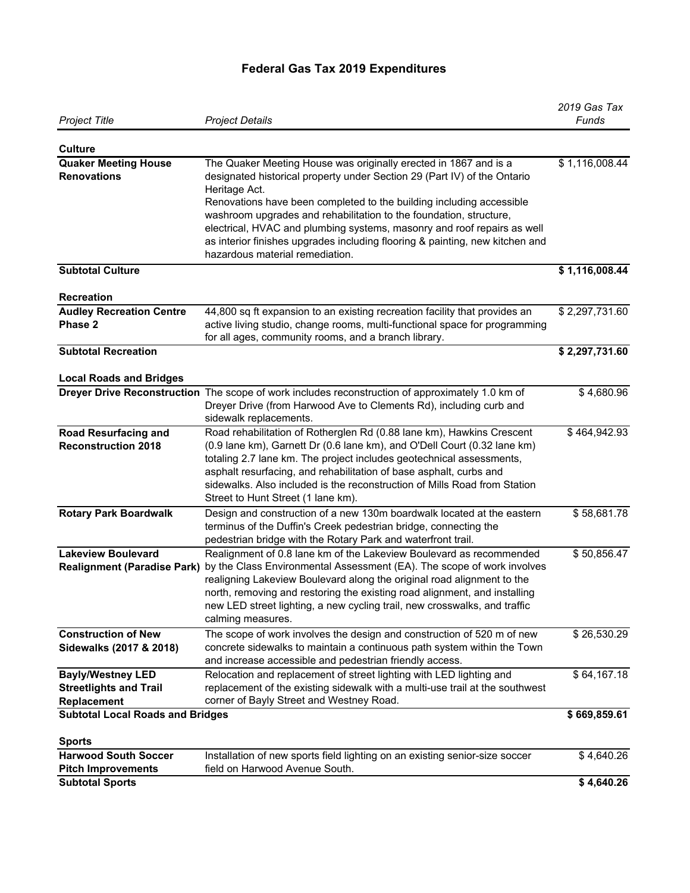## **Federal Gas Tax 2019 Expenditures**

| <b>Project Title</b>                                  | <b>Project Details</b>                                                                                                                                                                                                                                                                                                                                                                                                                                                                                    | 2019 Gas Tax<br>Funds |
|-------------------------------------------------------|-----------------------------------------------------------------------------------------------------------------------------------------------------------------------------------------------------------------------------------------------------------------------------------------------------------------------------------------------------------------------------------------------------------------------------------------------------------------------------------------------------------|-----------------------|
|                                                       |                                                                                                                                                                                                                                                                                                                                                                                                                                                                                                           |                       |
| <b>Culture</b>                                        |                                                                                                                                                                                                                                                                                                                                                                                                                                                                                                           |                       |
| <b>Quaker Meeting House</b><br><b>Renovations</b>     | The Quaker Meeting House was originally erected in 1867 and is a<br>designated historical property under Section 29 (Part IV) of the Ontario<br>Heritage Act.<br>Renovations have been completed to the building including accessible<br>washroom upgrades and rehabilitation to the foundation, structure,<br>electrical, HVAC and plumbing systems, masonry and roof repairs as well<br>as interior finishes upgrades including flooring & painting, new kitchen and<br>hazardous material remediation. | \$1,116,008.44        |
| <b>Subtotal Culture</b>                               |                                                                                                                                                                                                                                                                                                                                                                                                                                                                                                           | \$1,116,008.44        |
| <b>Recreation</b>                                     |                                                                                                                                                                                                                                                                                                                                                                                                                                                                                                           |                       |
| <b>Audley Recreation Centre</b>                       | 44,800 sq ft expansion to an existing recreation facility that provides an                                                                                                                                                                                                                                                                                                                                                                                                                                | \$2,297,731.60        |
| Phase 2                                               | active living studio, change rooms, multi-functional space for programming<br>for all ages, community rooms, and a branch library.                                                                                                                                                                                                                                                                                                                                                                        |                       |
| <b>Subtotal Recreation</b>                            |                                                                                                                                                                                                                                                                                                                                                                                                                                                                                                           | \$2,297,731.60        |
| <b>Local Roads and Bridges</b>                        |                                                                                                                                                                                                                                                                                                                                                                                                                                                                                                           |                       |
|                                                       | Dreyer Drive Reconstruction The scope of work includes reconstruction of approximately 1.0 km of<br>Dreyer Drive (from Harwood Ave to Clements Rd), including curb and<br>sidewalk replacements.                                                                                                                                                                                                                                                                                                          | \$4,680.96            |
| <b>Road Resurfacing and</b>                           | Road rehabilitation of Rotherglen Rd (0.88 lane km), Hawkins Crescent                                                                                                                                                                                                                                                                                                                                                                                                                                     | \$464,942.93          |
| <b>Reconstruction 2018</b>                            | (0.9 lane km), Garnett Dr (0.6 lane km), and O'Dell Court (0.32 lane km)<br>totaling 2.7 lane km. The project includes geotechnical assessments,<br>asphalt resurfacing, and rehabilitation of base asphalt, curbs and<br>sidewalks. Also included is the reconstruction of Mills Road from Station<br>Street to Hunt Street (1 lane km).                                                                                                                                                                 |                       |
| <b>Rotary Park Boardwalk</b>                          | Design and construction of a new 130m boardwalk located at the eastern<br>terminus of the Duffin's Creek pedestrian bridge, connecting the<br>pedestrian bridge with the Rotary Park and waterfront trail.                                                                                                                                                                                                                                                                                                | \$58,681.78           |
| <b>Lakeview Boulevard</b>                             | Realignment of 0.8 lane km of the Lakeview Boulevard as recommended<br>Realignment (Paradise Park) by the Class Environmental Assessment (EA). The scope of work involves<br>realigning Lakeview Boulevard along the original road alignment to the<br>north, removing and restoring the existing road alignment, and installing<br>new LED street lighting, a new cycling trail, new crosswalks, and traffic<br>calming measures.                                                                        | \$50,856.47           |
| <b>Construction of New</b><br>Sidewalks (2017 & 2018) | The scope of work involves the design and construction of 520 m of new<br>concrete sidewalks to maintain a continuous path system within the Town<br>and increase accessible and pedestrian friendly access.                                                                                                                                                                                                                                                                                              | \$26,530.29           |
| <b>Bayly/Westney LED</b>                              | Relocation and replacement of street lighting with LED lighting and                                                                                                                                                                                                                                                                                                                                                                                                                                       | \$64,167.18           |
| <b>Streetlights and Trail</b><br>Replacement          | replacement of the existing sidewalk with a multi-use trail at the southwest<br>corner of Bayly Street and Westney Road.                                                                                                                                                                                                                                                                                                                                                                                  |                       |
| <b>Subtotal Local Roads and Bridges</b>               |                                                                                                                                                                                                                                                                                                                                                                                                                                                                                                           | \$669,859.61          |
| <b>Sports</b>                                         |                                                                                                                                                                                                                                                                                                                                                                                                                                                                                                           |                       |
| <b>Harwood South Soccer</b>                           | Installation of new sports field lighting on an existing senior-size soccer                                                                                                                                                                                                                                                                                                                                                                                                                               | \$4,640.26            |
| <b>Pitch Improvements</b><br><b>Subtotal Sports</b>   | field on Harwood Avenue South.                                                                                                                                                                                                                                                                                                                                                                                                                                                                            | \$4,640.26            |
|                                                       |                                                                                                                                                                                                                                                                                                                                                                                                                                                                                                           |                       |